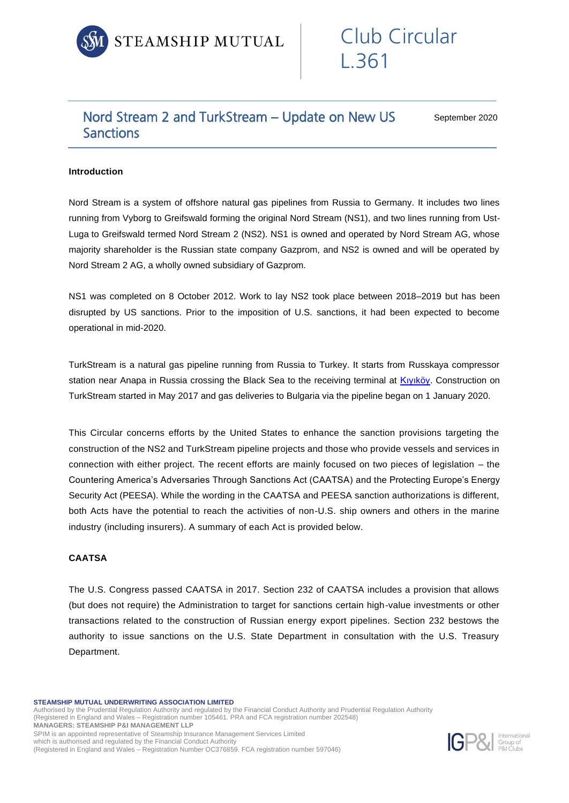

# Nord Stream 2 and TurkStream – Update on New US Sanctions

September 2020

## **Introduction**

Nord Stream is a system of offshore natural gas pipelines from Russia to Germany. It includes two lines running from Vyborg to Greifswald forming the original Nord Stream (NS1), and two lines running from Ust-Luga to Greifswald termed Nord Stream 2 (NS2). NS1 is owned and operated by Nord Stream AG, whose majority shareholder is the Russian state company Gazprom, and NS2 is owned and will be operated by Nord Stream 2 AG, a wholly owned subsidiary of Gazprom.

NS1 was completed on 8 October 2012. Work to lay NS2 took place between 2018–2019 but has been disrupted by US sanctions. Prior to the imposition of U.S. sanctions, it had been expected to become operational in mid-2020.

TurkStream is a natural gas pipeline running from Russia to Turkey. It starts from Russkaya compressor station near Anapa in Russia crossing the Black Sea to the receiving terminal at Kiyiköy. Construction on TurkStream started in May 2017 and gas deliveries to Bulgaria via the pipeline began on 1 January 2020.

This Circular concerns efforts by the United States to enhance the sanction provisions targeting the construction of the NS2 and TurkStream pipeline projects and those who provide vessels and services in connection with either project. The recent efforts are mainly focused on two pieces of legislation – the Countering America's Adversaries Through Sanctions Act (CAATSA) and the Protecting Europe's Energy Security Act (PEESA). While the wording in the CAATSA and PEESA sanction authorizations is different, both Acts have the potential to reach the activities of non-U.S. ship owners and others in the marine industry (including insurers). A summary of each Act is provided below.

# **CAATSA**

The U.S. Congress passed CAATSA in 2017. Section 232 of CAATSA includes a provision that allows (but does not require) the Administration to target for sanctions certain high-value investments or other transactions related to the construction of Russian energy export pipelines. Section 232 bestows the authority to issue sanctions on the U.S. State Department in consultation with the U.S. Treasury Department.

**STEAMSHIP MUTUAL UNDERWRITING ASSOCIATION LIMITED**

Authorised by the Prudential Regulation Authority and regulated by the Financial Conduct Authority and Prudential Regulation Authority

(Registered in England and Wales – Registration number 105461. PRA and FCA registration number 202548) **MANAGERS: STEAMSHIP P&I MANAGEMENT LLP**

SPIM is an appointed representative of Steamship Insurance Management Services Limited which is authorised and regulated by the Financial Conduct Authority (Registered in England and Wales – Registration Number OC376859. FCA registration number 597046)

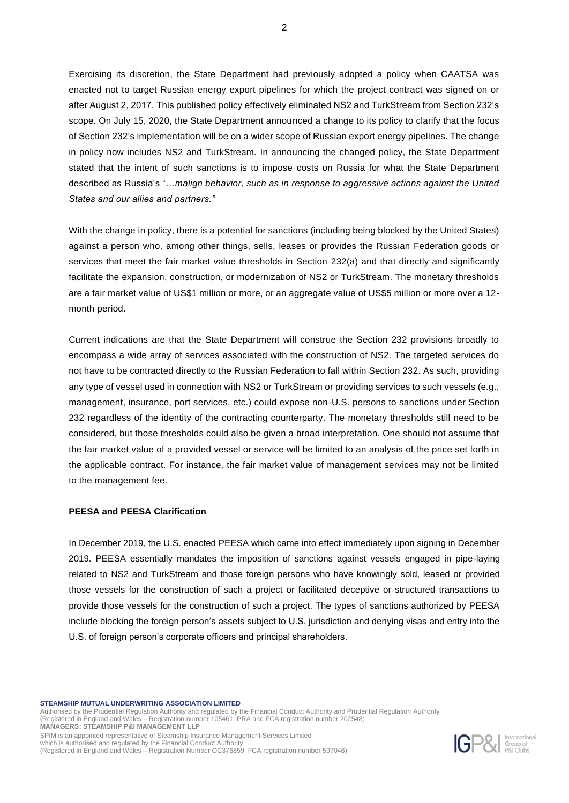Exercising its discretion, the State Department had previously adopted a policy when CAATSA was enacted not to target Russian energy export pipelines for which the project contract was signed on or after August 2, 2017. This published policy effectively eliminated NS2 and TurkStream from Section 232's scope. On July 15, 2020, the State Department announced a change to its policy to clarify that the focus of Section 232's implementation will be on a wider scope of Russian export energy pipelines. The change in policy now includes NS2 and TurkStream. In announcing the changed policy, the State Department stated that the intent of such sanctions is to impose costs on Russia for what the State Department described as Russia's "…*malign behavior, such as in response to aggressive actions against the United States and our allies and partners."*

With the change in policy, there is a potential for sanctions (including being blocked by the United States) against a person who, among other things, sells, leases or provides the Russian Federation goods or services that meet the fair market value thresholds in Section 232(a) and that directly and significantly facilitate the expansion, construction, or modernization of NS2 or TurkStream. The monetary thresholds are a fair market value of US\$1 million or more, or an aggregate value of US\$5 million or more over a 12 month period.

Current indications are that the State Department will construe the Section 232 provisions broadly to encompass a wide array of services associated with the construction of NS2. The targeted services do not have to be contracted directly to the Russian Federation to fall within Section 232. As such, providing any type of vessel used in connection with NS2 or TurkStream or providing services to such vessels (e.g., management, insurance, port services, etc.) could expose non-U.S. persons to sanctions under Section 232 regardless of the identity of the contracting counterparty. The monetary thresholds still need to be considered, but those thresholds could also be given a broad interpretation. One should not assume that the fair market value of a provided vessel or service will be limited to an analysis of the price set forth in the applicable contract. For instance, the fair market value of management services may not be limited to the management fee.

#### **PEESA and PEESA Clarification**

In December 2019, the U.S. enacted PEESA which came into effect immediately upon signing in December 2019. PEESA essentially mandates the imposition of sanctions against vessels engaged in pipe-laying related to NS2 and TurkStream and those foreign persons who have knowingly sold, leased or provided those vessels for the construction of such a project or facilitated deceptive or structured transactions to provide those vessels for the construction of such a project. The types of sanctions authorized by PEESA include blocking the foreign person's assets subject to U.S. jurisdiction and denying visas and entry into the U.S. of foreign person's corporate officers and principal shareholders.

**STEAMSHIP MUTUAL UNDERWRITING ASSOCIATION LIMITED**

Authorised by the Prudential Regulation Authority and regulated by the Financial Conduct Authority and Prudential Regulation Authority (Registered in England and Wales – Registration number 105461. PRA and FCA registration number 202548) **MANAGERS: STEAMSHIP P&I MANAGEMENT LLP** SPIM is an appointed representative of Steamship Insurance Management Services Limited

which is authorised and regulated by the Financial Conduct Authorit

(Registered in England and Wales – Registration Number OC376859. FCA registration number 597046)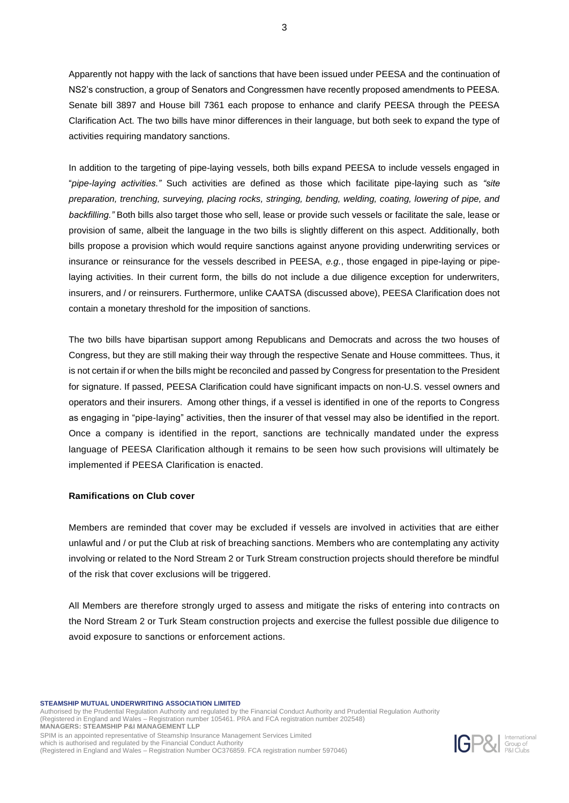Apparently not happy with the lack of sanctions that have been issued under PEESA and the continuation of NS2's construction, a group of Senators and Congressmen have recently proposed amendments to PEESA. Senate bill 3897 and House bill 7361 each propose to enhance and clarify PEESA through the PEESA Clarification Act. The two bills have minor differences in their language, but both seek to expand the type of activities requiring mandatory sanctions.

In addition to the targeting of pipe-laying vessels, both bills expand PEESA to include vessels engaged in "*pipe-laying activities."* Such activities are defined as those which facilitate pipe-laying such as *"site preparation, trenching, surveying, placing rocks, stringing, bending, welding, coating, lowering of pipe, and backfilling."* Both bills also target those who sell, lease or provide such vessels or facilitate the sale, lease or provision of same, albeit the language in the two bills is slightly different on this aspect. Additionally, both bills propose a provision which would require sanctions against anyone providing underwriting services or insurance or reinsurance for the vessels described in PEESA, *e.g.*, those engaged in pipe-laying or pipelaying activities. In their current form, the bills do not include a due diligence exception for underwriters, insurers, and / or reinsurers. Furthermore, unlike CAATSA (discussed above), PEESA Clarification does not contain a monetary threshold for the imposition of sanctions.

The two bills have bipartisan support among Republicans and Democrats and across the two houses of Congress, but they are still making their way through the respective Senate and House committees. Thus, it is not certain if or when the bills might be reconciled and passed by Congress for presentation to the President for signature. If passed, PEESA Clarification could have significant impacts on non-U.S. vessel owners and operators and their insurers. Among other things, if a vessel is identified in one of the reports to Congress as engaging in "pipe-laying" activities, then the insurer of that vessel may also be identified in the report. Once a company is identified in the report, sanctions are technically mandated under the express language of PEESA Clarification although it remains to be seen how such provisions will ultimately be implemented if PEESA Clarification is enacted.

#### **Ramifications on Club cover**

Members are reminded that cover may be excluded if vessels are involved in activities that are either unlawful and / or put the Club at risk of breaching sanctions. Members who are contemplating any activity involving or related to the Nord Stream 2 or Turk Stream construction projects should therefore be mindful of the risk that cover exclusions will be triggered.

All Members are therefore strongly urged to assess and mitigate the risks of entering into contracts on the Nord Stream 2 or Turk Steam construction projects and exercise the fullest possible due diligence to avoid exposure to sanctions or enforcement actions.

**STEAMSHIP MUTUAL UNDERWRITING ASSOCIATION LIMITED**

Authorised by the Prudential Regulation Authority and regulated by the Financial Conduct Authority and Prudential Regulation Authority (Registered in England and Wales – Registration number 105461. PRA and FCA registration number 202548) **MANAGERS: STEAMSHIP P&I MANAGEMENT LLP** SPIM is an appointed representative of Steamship Insurance Management Services Limited which is authorised and regulated by the Financial Conduct Authorit

(Registered in England and Wales – Registration Number OC376859. FCA registration number 597046)